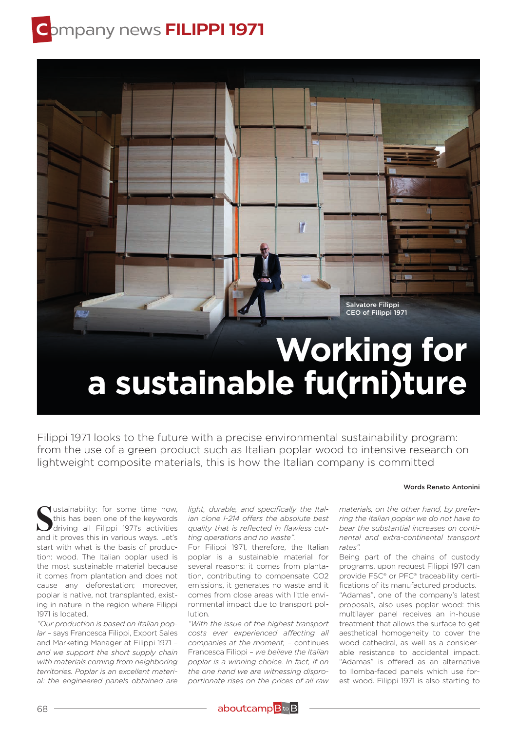# **C**ompany news **FILIPPI 1971**



Filippi 1971 looks to the future with a precise environmental sustainability program: from the use of a green product such as Italian poplar wood to intensive research on lightweight composite materials, this is how the Italian company is committed

#### Words Renato Antonini

Sustainability: for some time now,<br>this has been one of the keywords<br>driving all Filippi 1971's activities<br>and it proves this in various ways. Let's **V**ustainability: for some time now, this has been one of the keywords driving all Filippi 1971's activities start with what is the basis of production: wood. The Italian poplar used is the most sustainable material because it comes from plantation and does not cause any deforestation; moreover, poplar is native, not transplanted, existing in nature in the region where Filippi 1971 is located.

*"Our production is based on Italian poplar* – says Francesca Filippi, Export Sales and Marketing Manager at Filippi 1971 – *and we support the short supply chain with materials coming from neighboring territories. Poplar is an excellent material: the engineered panels obtained are* 

*light, durable, and specifically the Italian clone I-214 offers the absolute best quality that is reflected in flawless cutting operations and no waste".*

For Filippi 1971, therefore, the Italian poplar is a sustainable material for several reasons: it comes from plantation, contributing to compensate CO2 emissions, it generates no waste and it comes from close areas with little environmental impact due to transport pollution.

*"With the issue of the highest transport costs ever experienced affecting all companies at the moment,* – continues Francesca Filippi – *we believe the Italian poplar is a winning choice. In fact, if on the one hand we are witnessing disproportionate rises on the prices of all raw* 

*materials, on the other hand, by preferring the Italian poplar we do not have to bear the substantial increases on continental and extra-continental transport rates".*

Being part of the chains of custody programs, upon request Filippi 1971 can provide FSC® or PFC® traceability certifications of its manufactured products.

"Adamas", one of the company's latest proposals, also uses poplar wood: this multilayer panel receives an in-house treatment that allows the surface to get aesthetical homogeneity to cover the wood cathedral, as well as a considerable resistance to accidental impact. "Adamas" is offered as an alternative to Ilomba-faced panels which use forest wood. Filippi 1971 is also starting to